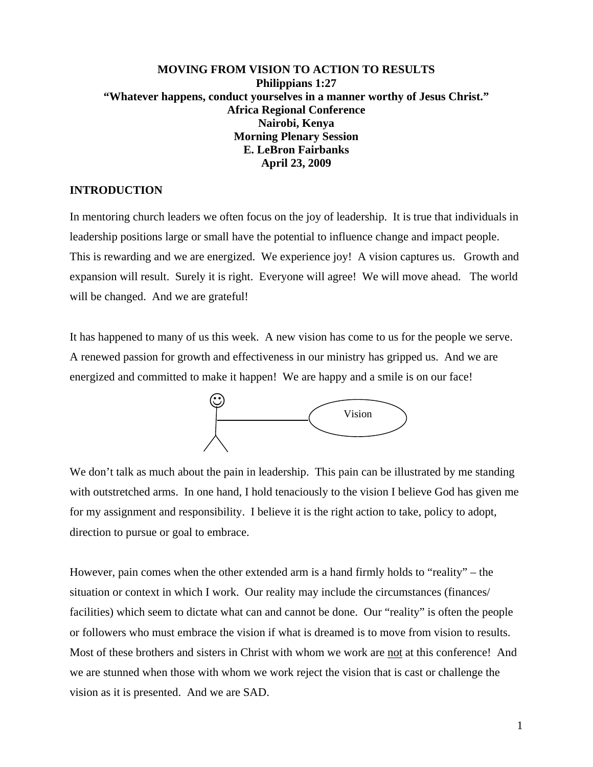### **MOVING FROM VISION TO ACTION TO RESULTS Philippians 1:27 "Whatever happens, conduct yourselves in a manner worthy of Jesus Christ." Africa Regional Conference Nairobi, Kenya Morning Plenary Session E. LeBron Fairbanks April 23, 2009**

#### **INTRODUCTION**

In mentoring church leaders we often focus on the joy of leadership. It is true that individuals in leadership positions large or small have the potential to influence change and impact people. This is rewarding and we are energized. We experience joy! A vision captures us. Growth and expansion will result. Surely it is right. Everyone will agree! We will move ahead. The world will be changed. And we are grateful!

It has happened to many of us this week. A new vision has come to us for the people we serve. A renewed passion for growth and effectiveness in our ministry has gripped us. And we are energized and committed to make it happen! We are happy and a smile is on our face!



We don't talk as much about the pain in leadership. This pain can be illustrated by me standing with outstretched arms. In one hand, I hold tenaciously to the vision I believe God has given me for my assignment and responsibility. I believe it is the right action to take, policy to adopt, direction to pursue or goal to embrace.

However, pain comes when the other extended arm is a hand firmly holds to "reality" – the situation or context in which I work. Our reality may include the circumstances (finances/ facilities) which seem to dictate what can and cannot be done. Our "reality" is often the people or followers who must embrace the vision if what is dreamed is to move from vision to results. Most of these brothers and sisters in Christ with whom we work are not at this conference! And we are stunned when those with whom we work reject the vision that is cast or challenge the vision as it is presented. And we are SAD.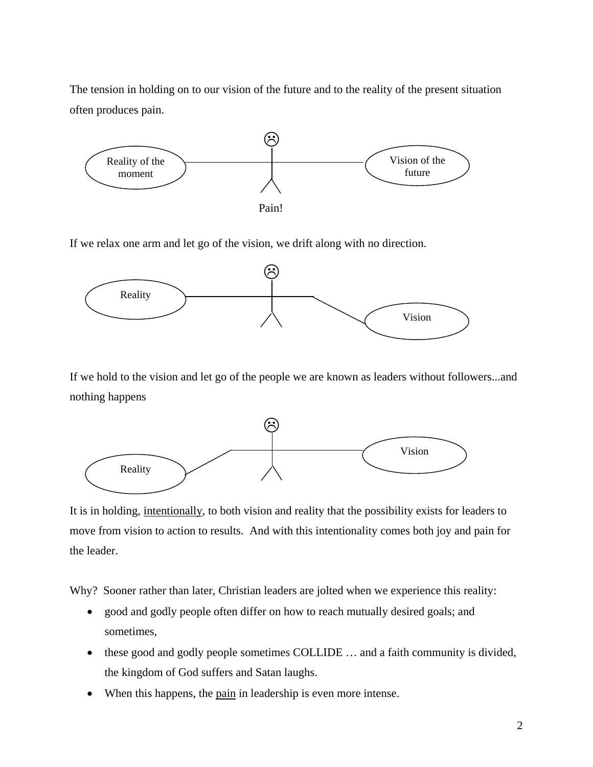The tension in holding on to our vision of the future and to the reality of the present situation often produces pain.



If we relax one arm and let go of the vision, we drift along with no direction.



If we hold to the vision and let go of the people we are known as leaders without followers...and nothing happens



It is in holding, intentionally, to both vision and reality that the possibility exists for leaders to move from vision to action to results. And with this intentionality comes both joy and pain for the leader.

Why? Sooner rather than later, Christian leaders are jolted when we experience this reality:

- good and godly people often differ on how to reach mutually desired goals; and sometimes,
- these good and godly people sometimes COLLIDE ... and a faith community is divided, the kingdom of God suffers and Satan laughs.
- When this happens, the pain in leadership is even more intense.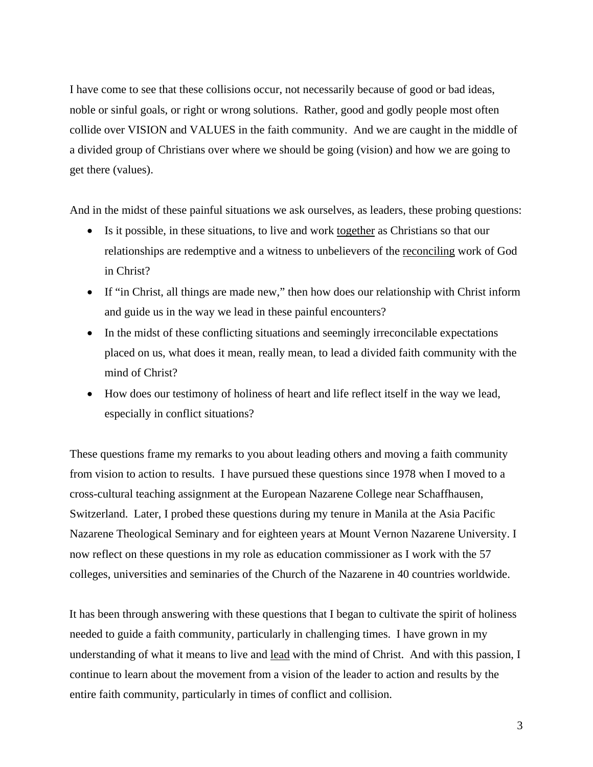I have come to see that these collisions occur, not necessarily because of good or bad ideas, noble or sinful goals, or right or wrong solutions. Rather, good and godly people most often collide over VISION and VALUES in the faith community. And we are caught in the middle of a divided group of Christians over where we should be going (vision) and how we are going to get there (values).

And in the midst of these painful situations we ask ourselves, as leaders, these probing questions:

- Is it possible, in these situations, to live and work together as Christians so that our relationships are redemptive and a witness to unbelievers of the reconciling work of God in Christ?
- If "in Christ, all things are made new," then how does our relationship with Christ inform and guide us in the way we lead in these painful encounters?
- In the midst of these conflicting situations and seemingly irreconcilable expectations placed on us, what does it mean, really mean, to lead a divided faith community with the mind of Christ?
- How does our testimony of holiness of heart and life reflect itself in the way we lead, especially in conflict situations?

These questions frame my remarks to you about leading others and moving a faith community from vision to action to results. I have pursued these questions since 1978 when I moved to a cross-cultural teaching assignment at the European Nazarene College near Schaffhausen, Switzerland. Later, I probed these questions during my tenure in Manila at the Asia Pacific Nazarene Theological Seminary and for eighteen years at Mount Vernon Nazarene University. I now reflect on these questions in my role as education commissioner as I work with the 57 colleges, universities and seminaries of the Church of the Nazarene in 40 countries worldwide.

It has been through answering with these questions that I began to cultivate the spirit of holiness needed to guide a faith community, particularly in challenging times. I have grown in my understanding of what it means to live and lead with the mind of Christ. And with this passion, I continue to learn about the movement from a vision of the leader to action and results by the entire faith community, particularly in times of conflict and collision.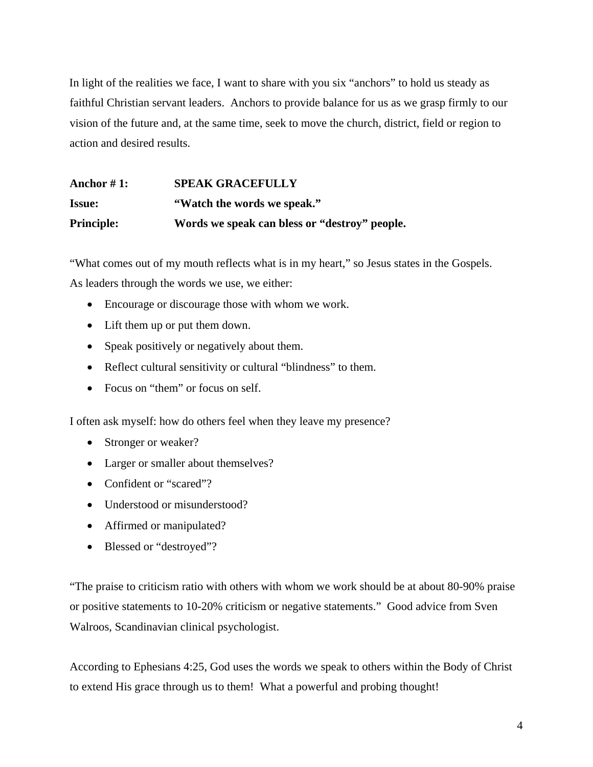In light of the realities we face, I want to share with you six "anchors" to hold us steady as faithful Christian servant leaders. Anchors to provide balance for us as we grasp firmly to our vision of the future and, at the same time, seek to move the church, district, field or region to action and desired results.

| Anchor $#1$ :     | <b>SPEAK GRACEFULLY</b>                       |
|-------------------|-----------------------------------------------|
| <b>Issue:</b>     | "Watch the words we speak."                   |
| <b>Principle:</b> | Words we speak can bless or "destroy" people. |

"What comes out of my mouth reflects what is in my heart," so Jesus states in the Gospels.

As leaders through the words we use, we either:

- Encourage or discourage those with whom we work.
- Lift them up or put them down.
- Speak positively or negatively about them.
- Reflect cultural sensitivity or cultural "blindness" to them.
- Focus on "them" or focus on self.

I often ask myself: how do others feel when they leave my presence?

- Stronger or weaker?
- Larger or smaller about themselves?
- Confident or "scared"?
- Understood or misunderstood?
- Affirmed or manipulated?
- Blessed or "destroyed"?

"The praise to criticism ratio with others with whom we work should be at about 80-90% praise or positive statements to 10-20% criticism or negative statements." Good advice from Sven Walroos, Scandinavian clinical psychologist.

According to Ephesians 4:25, God uses the words we speak to others within the Body of Christ to extend His grace through us to them! What a powerful and probing thought!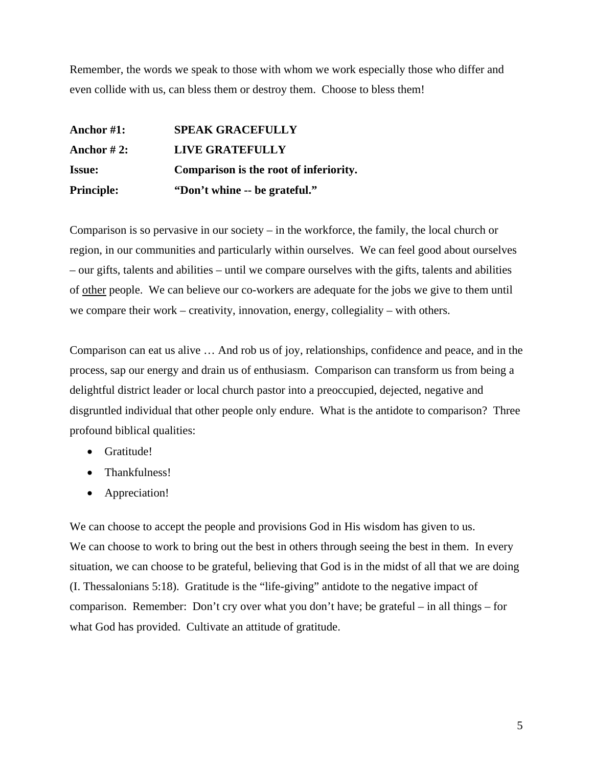Remember, the words we speak to those with whom we work especially those who differ and even collide with us, can bless them or destroy them. Choose to bless them!

| <b>Principle:</b> | "Don't whine -- be grateful."          |
|-------------------|----------------------------------------|
| <b>Issue:</b>     | Comparison is the root of inferiority. |
| Anchor $#2$ :     | <b>LIVE GRATEFULLY</b>                 |
| Anchor #1:        | <b>SPEAK GRACEFULLY</b>                |

Comparison is so pervasive in our society – in the workforce, the family, the local church or region, in our communities and particularly within ourselves. We can feel good about ourselves – our gifts, talents and abilities – until we compare ourselves with the gifts, talents and abilities of other people. We can believe our co-workers are adequate for the jobs we give to them until we compare their work – creativity, innovation, energy, collegiality – with others.

Comparison can eat us alive … And rob us of joy, relationships, confidence and peace, and in the process, sap our energy and drain us of enthusiasm. Comparison can transform us from being a delightful district leader or local church pastor into a preoccupied, dejected, negative and disgruntled individual that other people only endure. What is the antidote to comparison? Three profound biblical qualities:

- Gratitude!
- Thankfulness!
- Appreciation!

We can choose to accept the people and provisions God in His wisdom has given to us. We can choose to work to bring out the best in others through seeing the best in them. In every situation, we can choose to be grateful, believing that God is in the midst of all that we are doing (I. Thessalonians 5:18). Gratitude is the "life-giving" antidote to the negative impact of comparison. Remember: Don't cry over what you don't have; be grateful – in all things – for what God has provided. Cultivate an attitude of gratitude.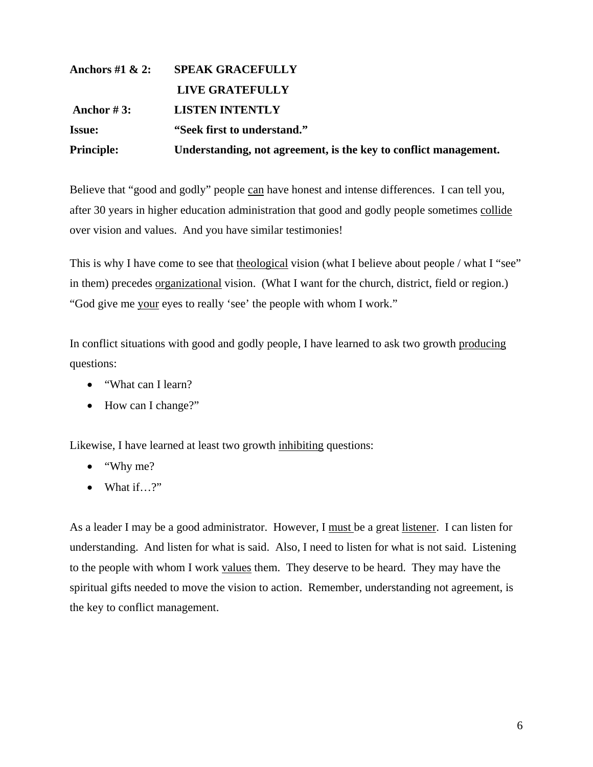| Anchors #1 $\& 2$ : | <b>SPEAK GRACEFULLY</b>                                          |
|---------------------|------------------------------------------------------------------|
|                     | <b>LIVE GRATEFULLY</b>                                           |
| Anchor #3:          | <b>LISTEN INTENTLY</b>                                           |
| <b>Issue:</b>       | "Seek first to understand."                                      |
| <b>Principle:</b>   | Understanding, not agreement, is the key to conflict management. |

Believe that "good and godly" people can have honest and intense differences. I can tell you, after 30 years in higher education administration that good and godly people sometimes collide over vision and values. And you have similar testimonies!

This is why I have come to see that theological vision (what I believe about people / what I "see" in them) precedes organizational vision. (What I want for the church, district, field or region.) "God give me your eyes to really 'see' the people with whom I work."

In conflict situations with good and godly people, I have learned to ask two growth producing questions:

- "What can I learn?
- How can I change?"

Likewise, I have learned at least two growth inhibiting questions:

- "Why me?
- $\bullet$  What if…?"

As a leader I may be a good administrator. However, I must be a great listener. I can listen for understanding. And listen for what is said. Also, I need to listen for what is not said. Listening to the people with whom I work values them. They deserve to be heard. They may have the spiritual gifts needed to move the vision to action. Remember, understanding not agreement, is the key to conflict management.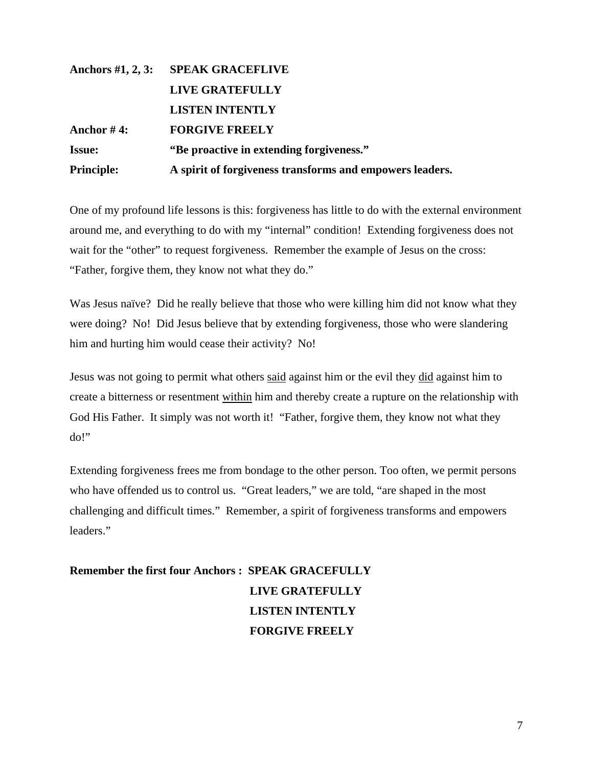# **Anchors #1, 2, 3: SPEAK GRACEFLIVE LIVE GRATEFULLY LISTEN INTENTLY Anchor # 4: FORGIVE FREELY Issue: "Be proactive in extending forgiveness." Principle: A spirit of forgiveness transforms and empowers leaders.**

One of my profound life lessons is this: forgiveness has little to do with the external environment around me, and everything to do with my "internal" condition! Extending forgiveness does not wait for the "other" to request forgiveness. Remember the example of Jesus on the cross: "Father, forgive them, they know not what they do."

Was Jesus naïve? Did he really believe that those who were killing him did not know what they were doing? No! Did Jesus believe that by extending forgiveness, those who were slandering him and hurting him would cease their activity? No!

Jesus was not going to permit what others said against him or the evil they did against him to create a bitterness or resentment within him and thereby create a rupture on the relationship with God His Father. It simply was not worth it! "Father, forgive them, they know not what they do!"

Extending forgiveness frees me from bondage to the other person. Too often, we permit persons who have offended us to control us. "Great leaders," we are told, "are shaped in the most challenging and difficult times." Remember, a spirit of forgiveness transforms and empowers leaders."

## **Remember the first four Anchors : SPEAK GRACEFULLY LIVE GRATEFULLY LISTEN INTENTLY FORGIVE FREELY**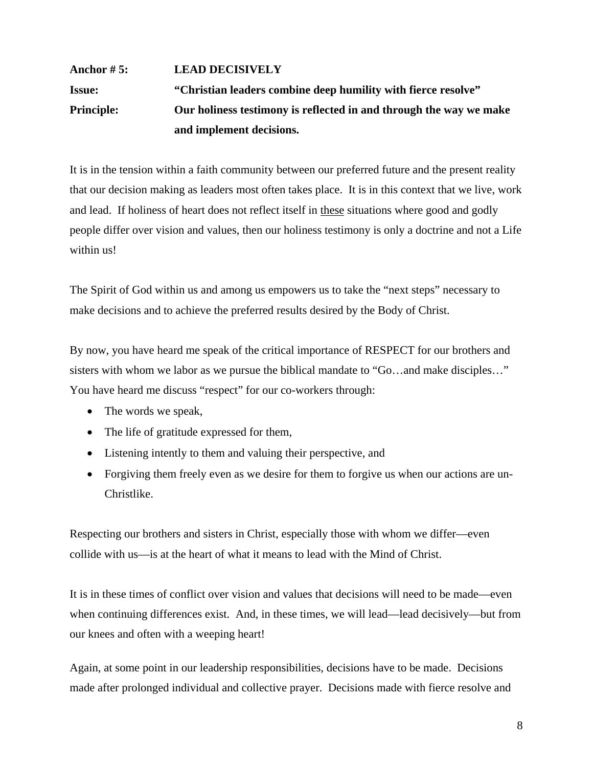### **Anchor # 5: LEAD DECISIVELY Issue: "Christian leaders combine deep humility with fierce resolve" Principle: Our holiness testimony is reflected in and through the way we make and implement decisions.**

It is in the tension within a faith community between our preferred future and the present reality that our decision making as leaders most often takes place. It is in this context that we live, work and lead. If holiness of heart does not reflect itself in these situations where good and godly people differ over vision and values, then our holiness testimony is only a doctrine and not a Life within us!

The Spirit of God within us and among us empowers us to take the "next steps" necessary to make decisions and to achieve the preferred results desired by the Body of Christ.

By now, you have heard me speak of the critical importance of RESPECT for our brothers and sisters with whom we labor as we pursue the biblical mandate to "Go…and make disciples…" You have heard me discuss "respect" for our co-workers through:

- The words we speak,
- The life of gratitude expressed for them,
- Listening intently to them and valuing their perspective, and
- Forgiving them freely even as we desire for them to forgive us when our actions are un-Christlike.

Respecting our brothers and sisters in Christ, especially those with whom we differ—even collide with us—is at the heart of what it means to lead with the Mind of Christ.

It is in these times of conflict over vision and values that decisions will need to be made—even when continuing differences exist. And, in these times, we will lead—lead decisively—but from our knees and often with a weeping heart!

Again, at some point in our leadership responsibilities, decisions have to be made. Decisions made after prolonged individual and collective prayer. Decisions made with fierce resolve and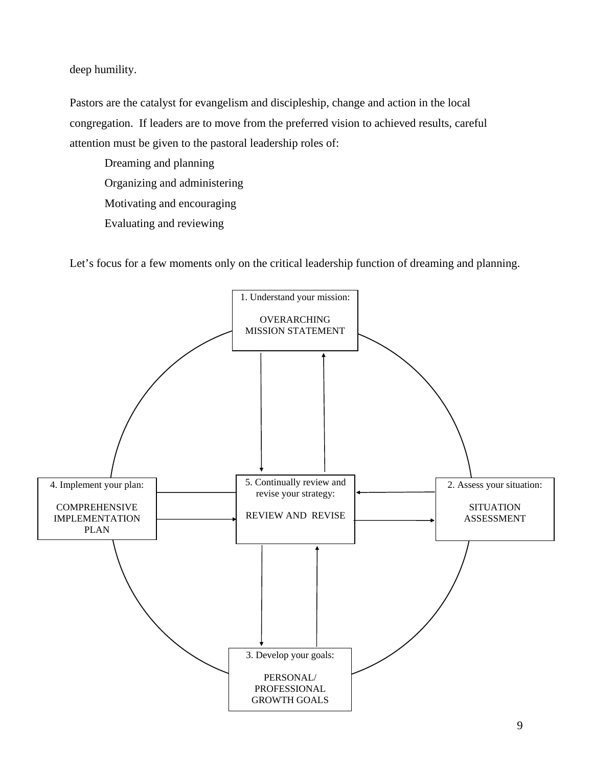deep humility.

Pastors are the catalyst for evangelism and discipleship, change and action in the local congregation. If leaders are to move from the preferred vision to achieved results, careful attention must be given to the pastoral leadership roles of:

 Dreaming and planning Organizing and administering Motivating and encouraging

Evaluating and reviewing

Let's focus for a few moments only on the critical leadership function of dreaming and planning.

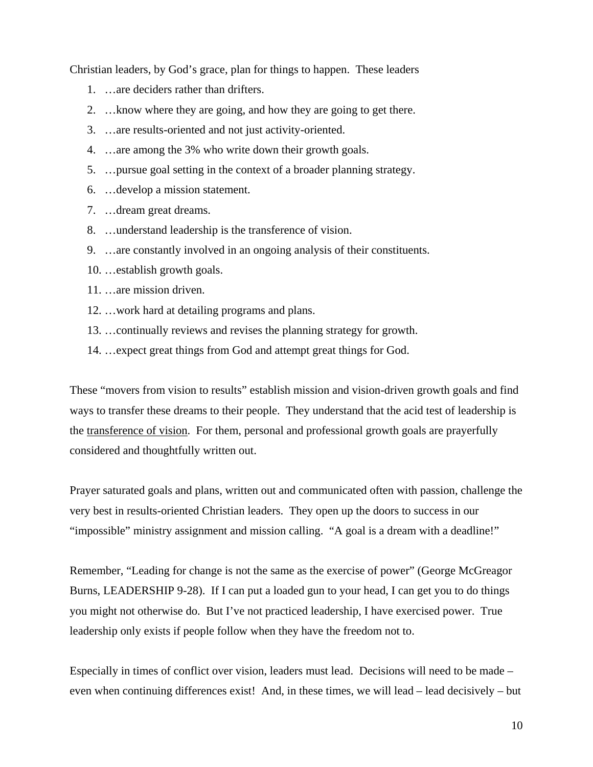Christian leaders, by God's grace, plan for things to happen. These leaders

- 1. …are deciders rather than drifters.
- 2. …know where they are going, and how they are going to get there.
- 3. …are results-oriented and not just activity-oriented.
- 4. …are among the 3% who write down their growth goals.
- 5. …pursue goal setting in the context of a broader planning strategy.
- 6. …develop a mission statement.
- 7. …dream great dreams.
- 8. …understand leadership is the transference of vision.
- 9. …are constantly involved in an ongoing analysis of their constituents.
- 10. …establish growth goals.
- 11. …are mission driven.
- 12. …work hard at detailing programs and plans.
- 13. …continually reviews and revises the planning strategy for growth.
- 14. …expect great things from God and attempt great things for God.

These "movers from vision to results" establish mission and vision-driven growth goals and find ways to transfer these dreams to their people. They understand that the acid test of leadership is the transference of vision. For them, personal and professional growth goals are prayerfully considered and thoughtfully written out.

Prayer saturated goals and plans, written out and communicated often with passion, challenge the very best in results-oriented Christian leaders. They open up the doors to success in our "impossible" ministry assignment and mission calling. "A goal is a dream with a deadline!"

Remember, "Leading for change is not the same as the exercise of power" (George McGreagor Burns, LEADERSHIP 9-28). If I can put a loaded gun to your head, I can get you to do things you might not otherwise do. But I've not practiced leadership, I have exercised power. True leadership only exists if people follow when they have the freedom not to.

Especially in times of conflict over vision, leaders must lead. Decisions will need to be made – even when continuing differences exist! And, in these times, we will lead – lead decisively – but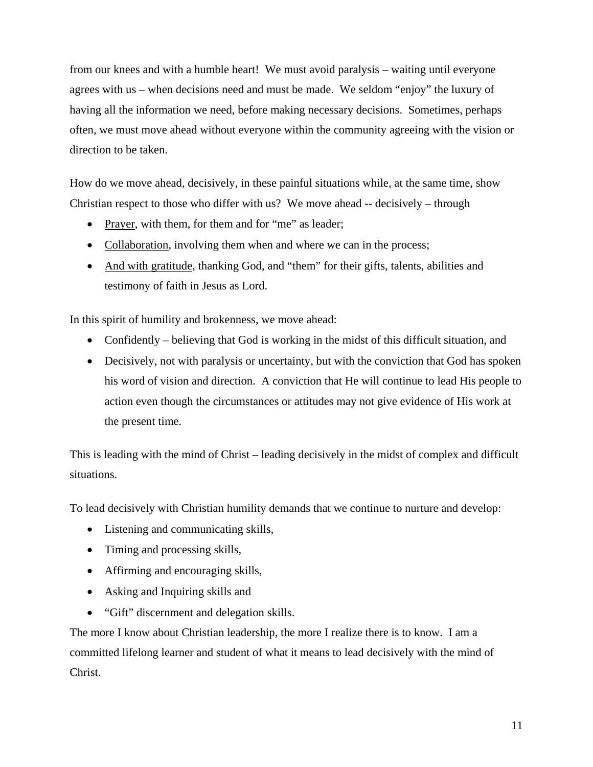from our knees and with a humble heart! We must avoid paralysis – waiting until everyone agrees with us – when decisions need and must be made. We seldom "enjoy" the luxury of having all the information we need, before making necessary decisions. Sometimes, perhaps often, we must move ahead without everyone within the community agreeing with the vision or direction to be taken.

How do we move ahead, decisively, in these painful situations while, at the same time, show Christian respect to those who differ with us? We move ahead -- decisively – through

- Prayer, with them, for them and for "me" as leader;
- Collaboration, involving them when and where we can in the process;
- And with gratitude, thanking God, and "them" for their gifts, talents, abilities and testimony of faith in Jesus as Lord.

In this spirit of humility and brokenness, we move ahead:

- Confidently believing that God is working in the midst of this difficult situation, and
- Decisively, not with paralysis or uncertainty, but with the conviction that God has spoken his word of vision and direction. A conviction that He will continue to lead His people to action even though the circumstances or attitudes may not give evidence of His work at the present time.

This is leading with the mind of Christ – leading decisively in the midst of complex and difficult situations.

To lead decisively with Christian humility demands that we continue to nurture and develop:

- Listening and communicating skills,
- Timing and processing skills,
- Affirming and encouraging skills,
- Asking and Inquiring skills and
- "Gift" discernment and delegation skills.

The more I know about Christian leadership, the more I realize there is to know. I am a committed lifelong learner and student of what it means to lead decisively with the mind of Christ.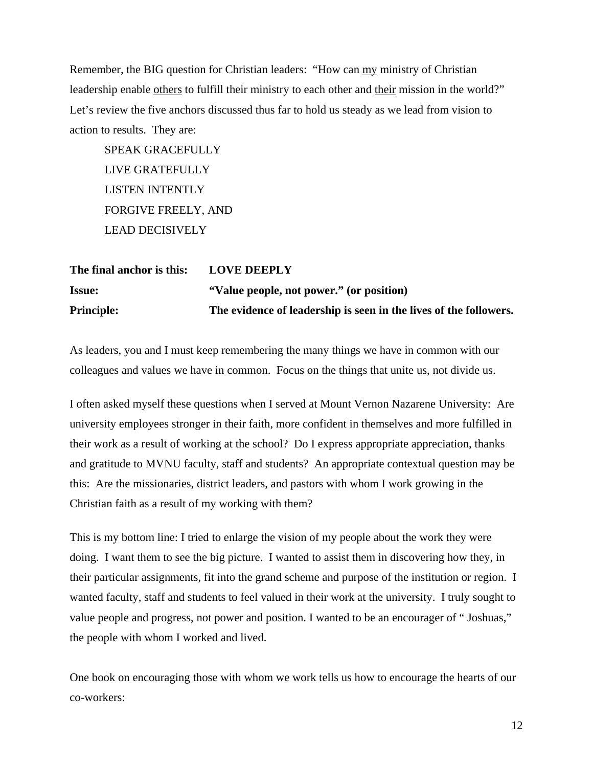Remember, the BIG question for Christian leaders: "How can my ministry of Christian leadership enable others to fulfill their ministry to each other and their mission in the world?" Let's review the five anchors discussed thus far to hold us steady as we lead from vision to action to results. They are:

 SPEAK GRACEFULLY LIVE GRATEFULLY LISTEN INTENTLY FORGIVE FREELY, AND LEAD DECISIVELY

| The final anchor is this: | <b>LOVE DEEPLY</b>                                                |
|---------------------------|-------------------------------------------------------------------|
| <b>Issue:</b>             | "Value people, not power." (or position)                          |
| <b>Principle:</b>         | The evidence of leadership is seen in the lives of the followers. |

As leaders, you and I must keep remembering the many things we have in common with our colleagues and values we have in common. Focus on the things that unite us, not divide us.

I often asked myself these questions when I served at Mount Vernon Nazarene University: Are university employees stronger in their faith, more confident in themselves and more fulfilled in their work as a result of working at the school? Do I express appropriate appreciation, thanks and gratitude to MVNU faculty, staff and students? An appropriate contextual question may be this: Are the missionaries, district leaders, and pastors with whom I work growing in the Christian faith as a result of my working with them?

This is my bottom line: I tried to enlarge the vision of my people about the work they were doing. I want them to see the big picture. I wanted to assist them in discovering how they, in their particular assignments, fit into the grand scheme and purpose of the institution or region. I wanted faculty, staff and students to feel valued in their work at the university. I truly sought to value people and progress, not power and position. I wanted to be an encourager of " Joshuas," the people with whom I worked and lived.

One book on encouraging those with whom we work tells us how to encourage the hearts of our co-workers: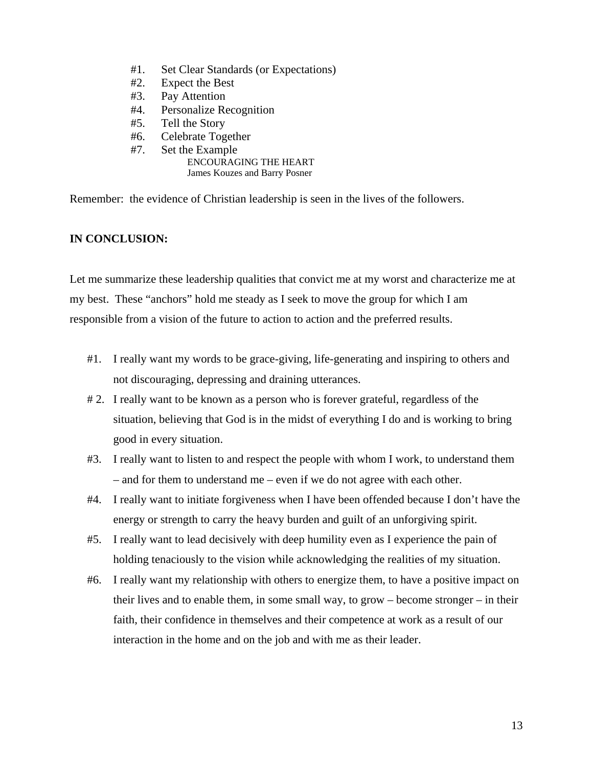- #1. Set Clear Standards (or Expectations)
- #2. Expect the Best
- #3. Pay Attention
- #4. Personalize Recognition
- #5. Tell the Story
- #6. Celebrate Together
- #7. Set the Example ENCOURAGING THE HEART James Kouzes and Barry Posner

Remember: the evidence of Christian leadership is seen in the lives of the followers.

#### **IN CONCLUSION:**

Let me summarize these leadership qualities that convict me at my worst and characterize me at my best. These "anchors" hold me steady as I seek to move the group for which I am responsible from a vision of the future to action to action and the preferred results.

- #1. I really want my words to be grace-giving, life-generating and inspiring to others and not discouraging, depressing and draining utterances.
- # 2. I really want to be known as a person who is forever grateful, regardless of the situation, believing that God is in the midst of everything I do and is working to bring good in every situation.
- #3. I really want to listen to and respect the people with whom I work, to understand them – and for them to understand me – even if we do not agree with each other.
- #4. I really want to initiate forgiveness when I have been offended because I don't have the energy or strength to carry the heavy burden and guilt of an unforgiving spirit.
- #5. I really want to lead decisively with deep humility even as I experience the pain of holding tenaciously to the vision while acknowledging the realities of my situation.
- #6. I really want my relationship with others to energize them, to have a positive impact on their lives and to enable them, in some small way, to grow – become stronger – in their faith, their confidence in themselves and their competence at work as a result of our interaction in the home and on the job and with me as their leader.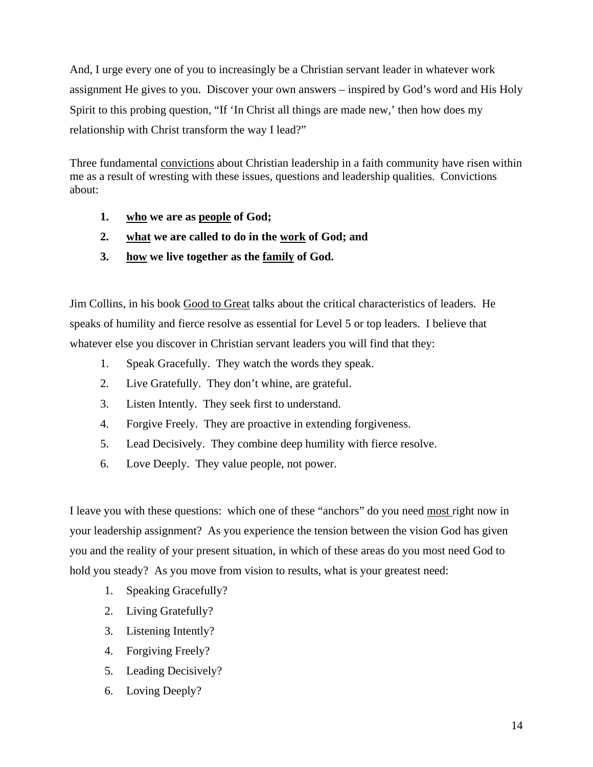And, I urge every one of you to increasingly be a Christian servant leader in whatever work assignment He gives to you. Discover your own answers – inspired by God's word and His Holy Spirit to this probing question, "If 'In Christ all things are made new,' then how does my relationship with Christ transform the way I lead?"

Three fundamental convictions about Christian leadership in a faith community have risen within me as a result of wresting with these issues, questions and leadership qualities. Convictions about:

- **1. who we are as people of God;**
- **2. what we are called to do in the work of God; and**
- **3. how we live together as the family of God.**

Jim Collins, in his book Good to Great talks about the critical characteristics of leaders. He speaks of humility and fierce resolve as essential for Level 5 or top leaders. I believe that whatever else you discover in Christian servant leaders you will find that they:

- 1. Speak Gracefully. They watch the words they speak.
- 2. Live Gratefully. They don't whine, are grateful.
- 3. Listen Intently. They seek first to understand.
- 4. Forgive Freely. They are proactive in extending forgiveness.
- 5. Lead Decisively. They combine deep humility with fierce resolve.
- 6. Love Deeply. They value people, not power.

I leave you with these questions: which one of these "anchors" do you need most right now in your leadership assignment? As you experience the tension between the vision God has given you and the reality of your present situation, in which of these areas do you most need God to hold you steady? As you move from vision to results, what is your greatest need:

- 1. Speaking Gracefully?
- 2. Living Gratefully?
- 3. Listening Intently?
- 4. Forgiving Freely?
- 5. Leading Decisively?
- 6. Loving Deeply?